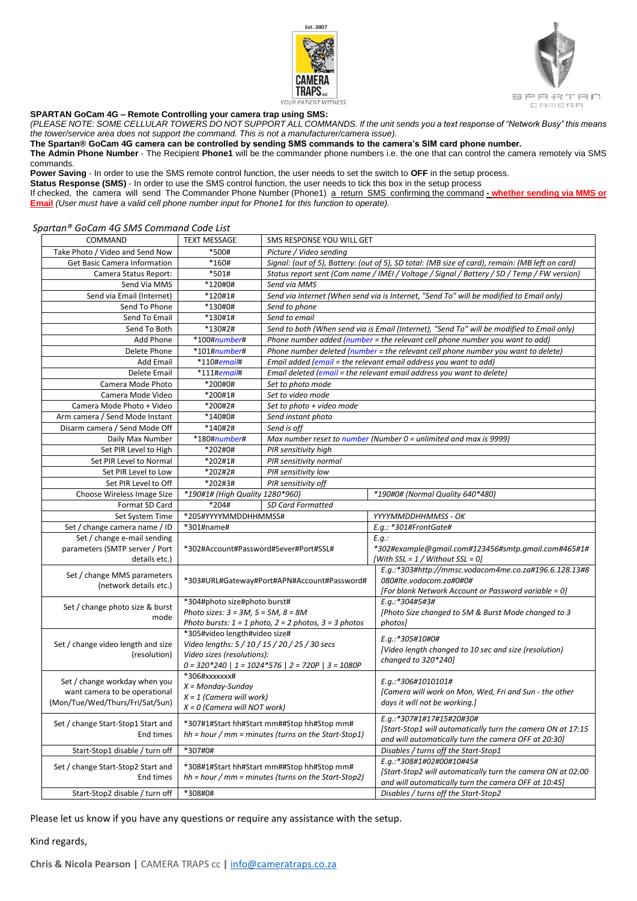



## **SPARTAN GoCam 4G – Remote Controlling your camera trap using SMS:**

*(PLEASE NOTE: SOME CELLULAR TOWERS DO NOT SUPPORT ALL COMMANDS. If the unit sends you a text response of "Network Busy" this means the tower/service area does not support the command. This is not a manufacturer/camera issue).* 

**The Spartan® GoCam 4G camera can be controlled by sending SMS commands to the camera's SIM card phone number.**

**The Admin Phone Number** ‐ The Recipient **Phone1** will be the commander phone numbers i.e. the one that can control the camera remotely via SMS commands.

**Power Saving** ‐ In order to use the SMS remote control function, the user needs to set the switch to **OFF** in the setup process.

**Status Response (SMS)** - In order to use the SMS control function, the user needs to tick this box in the setup process

If checked, the camera will send The Commander Phone Number (Phone1) a return SMS confirming the command **- whether sending via MMS or Email** *(User must have a valid cell phone number input for Phone1 for this function to operate).*

## *Spartan® GoCam 4G SMS Command Code List*

| COMMAND                                               | <b>TEXT MESSAGE</b>                                                                                    | SMS RESPONSE YOU WILL GET                                                                       |                                                                                   |  |
|-------------------------------------------------------|--------------------------------------------------------------------------------------------------------|-------------------------------------------------------------------------------------------------|-----------------------------------------------------------------------------------|--|
| Take Photo / Video and Send Now                       | *500#                                                                                                  | Picture / Video sending                                                                         |                                                                                   |  |
| <b>Get Basic Camera Information</b>                   | $*160#$                                                                                                | Signal: (out of 5), Battery: (out of 5), SD total: (MB size of card), remain: (MB left on card) |                                                                                   |  |
| Camera Status Report:                                 | *501#                                                                                                  | Status report sent (Cam name / IMEI / Voltage / Signal / Battery / SD / Temp / FW version)      |                                                                                   |  |
| Send Via MMS                                          | *120#0#                                                                                                | Send via MMS                                                                                    |                                                                                   |  |
| Send via Email (Internet)                             | *120#1#                                                                                                | Send via Internet (When send via is Internet, "Send To" will be modified to Email only)         |                                                                                   |  |
| Send To Phone                                         | *130#0#                                                                                                | Send to phone                                                                                   |                                                                                   |  |
| Send To Email                                         | *130#1#                                                                                                | Send to email                                                                                   |                                                                                   |  |
| Send To Both                                          | *130#2#                                                                                                | Send to both (When send via is Email (Internet), "Send To" will be modified to Email only)      |                                                                                   |  |
| Add Phone                                             | *100#number#                                                                                           | Phone number added (number = the relevant cell phone number you want to add)                    |                                                                                   |  |
| Delete Phone                                          | $*101$ #number#                                                                                        |                                                                                                 | Phone number deleted (number = the relevant cell phone number you want to delete) |  |
| <b>Add Email</b>                                      | $*110\# email\#$                                                                                       | Email added (email = the relevant email address you want to add)                                |                                                                                   |  |
| Delete Email                                          | $*111$ #email#                                                                                         | Email deleted (email = the relevant email address you want to delete)                           |                                                                                   |  |
| Camera Mode Photo                                     | *200#0#                                                                                                | Set to photo mode                                                                               |                                                                                   |  |
| Camera Mode Video                                     | *200#1#                                                                                                | Set to video mode                                                                               |                                                                                   |  |
| Camera Mode Photo + Video                             | *200#2#                                                                                                | Set to photo + video mode                                                                       |                                                                                   |  |
| Arm camera / Send Mode Instant                        | *140#0#                                                                                                | Send instant photo                                                                              |                                                                                   |  |
| Disarm camera / Send Mode Off                         | *140#2#                                                                                                | Send is off                                                                                     |                                                                                   |  |
| Daily Max Number                                      | $*180$ #number#                                                                                        | Max number reset to number (Number $0 =$ unlimited and max is 9999)                             |                                                                                   |  |
| Set PIR Level to High                                 | *202#0#                                                                                                | PIR sensitivity high                                                                            |                                                                                   |  |
| Set PIR Level to Normal                               | *202#1#                                                                                                | PIR sensitivity normal                                                                          |                                                                                   |  |
| Set PIR Level to Low                                  | *202#2#                                                                                                | PIR sensitivity low                                                                             |                                                                                   |  |
| Set PIR Level to Off                                  | *202#3#                                                                                                | PIR sensitivity off                                                                             |                                                                                   |  |
| Choose Wireless Image Size                            | *190#1# (High Quality 1280*960)                                                                        |                                                                                                 | *190#0# (Normal Quality 640*480)                                                  |  |
| Format SD Card                                        | *204#<br><b>SD Card Formatted</b>                                                                      |                                                                                                 |                                                                                   |  |
| Set System Time                                       | *205#YYYYMMDDHHMMSS#                                                                                   |                                                                                                 | YYYYMMDDHHMMSS - OK                                                               |  |
| Set / change camera name / ID                         | *301#name#                                                                                             |                                                                                                 | E.g.: *301#FrontGate#                                                             |  |
| Set / change e-mail sending                           | *302#Account#Password#Sever#Port#SSL#                                                                  |                                                                                                 | E.q.                                                                              |  |
| parameters (SMTP server / Port                        |                                                                                                        |                                                                                                 | *302#example@qmail.com#123456#smtp.qmail.com#465#1#                               |  |
| details etc.)                                         |                                                                                                        |                                                                                                 | [With SSL = 1 / Without SSL = 0]                                                  |  |
| Set / change MMS parameters<br>(network details etc.) | *303#URL#Gateway#Port#APN#Account#Password#                                                            |                                                                                                 | E.g.:*303#http://mmsc.vodacom4me.co.za#196.6.128.13#8                             |  |
|                                                       |                                                                                                        |                                                                                                 | 080#lte.vodacom.za#0#0#                                                           |  |
|                                                       |                                                                                                        |                                                                                                 | [For blank Network Account or Password variable = 0]                              |  |
| Set / change photo size & burst<br>mode               | *304#photo size#photo burst#                                                                           |                                                                                                 | E.g.:*304#5#3#                                                                    |  |
|                                                       | Photo sizes: $3 = 3M$ , $5 = 5M$ , $8 = 8M$                                                            |                                                                                                 | [Photo Size changed to 5M & Burst Mode changed to 3                               |  |
|                                                       | Photo bursts: $1 = 1$ photo, $2 = 2$ photos, $3 = 3$ photos                                            |                                                                                                 | photos]                                                                           |  |
| Set / change video length and size<br>(resolution)    | *305#video length#video size#                                                                          |                                                                                                 | E.g.:*305#10#0#                                                                   |  |
|                                                       | Video lengths: 5 / 10 / 15 / 20 / 25 / 30 secs                                                         |                                                                                                 | [Video length changed to 10 sec and size (resolution)                             |  |
|                                                       | Video sizes (resolutions):                                                                             |                                                                                                 | changed to 320*240]                                                               |  |
|                                                       | $0 = 320*240$   1 = 1024*576   2 = 720P   3 = 1080P                                                    |                                                                                                 |                                                                                   |  |
| Set / change workday when you                         | $*306#xxxxxxx#$<br>$X = Monday-Sunday$<br>$X = 1$ (Camera will work)<br>$X = 0$ (Camera will NOT work) |                                                                                                 | E.g.:*306#1010101#                                                                |  |
| want camera to be operational                         |                                                                                                        |                                                                                                 | [Camera will work on Mon, Wed, Fri and Sun - the other                            |  |
| (Mon/Tue/Wed/Thurs/Fri/Sat/Sun)                       |                                                                                                        |                                                                                                 | days it will not be working.]                                                     |  |
|                                                       |                                                                                                        |                                                                                                 | E.g.:*307#1#17#15#20#30#                                                          |  |
| Set / change Start-Stop1 Start and<br>End times       | *307#1#Start hh#Start mm##Stop hh#Stop mm#<br>$hh = hour / mm = minutes (turns on the Start-Stop1)$    |                                                                                                 | [Start-Stop1 will automatically turn the camera ON at 17:15                       |  |
|                                                       |                                                                                                        |                                                                                                 | and will automatically turn the camera OFF at 20:30]                              |  |
| Start-Stop1 disable / turn off                        | *307#0#                                                                                                |                                                                                                 | Disables / turns off the Start-Stop1                                              |  |
|                                                       |                                                                                                        |                                                                                                 | E.q.:*308#1#02#00#10#45#                                                          |  |
| Set / change Start-Stop2 Start and                    | *308#1#Start hh#Start mm##Stop hh#Stop mm#<br>$hh = hour / mm = minutes (turns on the Start-Stop2)$    |                                                                                                 | [Start-Stop2 will automatically turn the camera ON at 02:00                       |  |
| End times                                             |                                                                                                        |                                                                                                 | and will automatically turn the camera OFF at 10:45]                              |  |
| Start-Stop2 disable / turn off                        | *308#0#                                                                                                |                                                                                                 | Disables / turns off the Start-Stop2                                              |  |
|                                                       |                                                                                                        |                                                                                                 |                                                                                   |  |

Please let us know if you have any questions or require any assistance with the setup.

## Kind regards,